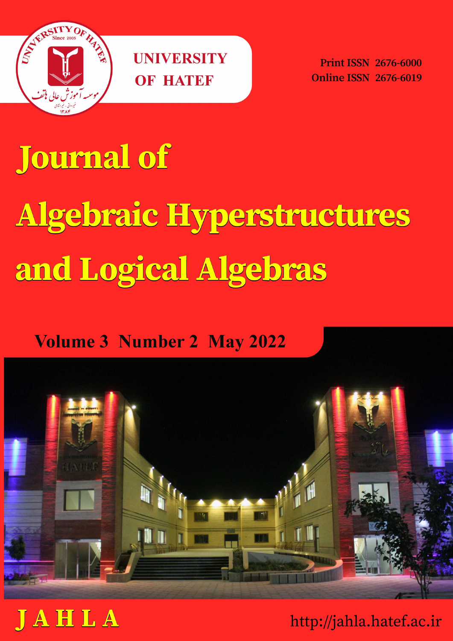

**Print ISSN 2676-6000 Online ISSN 2676-6019** 

## **Journal of** Algebraic Hyperstructures and Logical Algebras

## **Volume 3 Number 2 May 2022**





http://jahla.hatef.ac.ir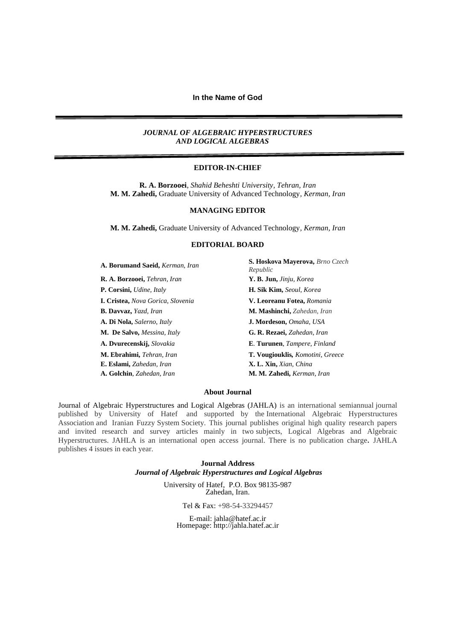#### *JOURNAL OF ALGEBRAIC HYPERSTRUCTURES AND LOGICAL ALGEBRAS*

#### **EDITOR-IN-CHIEF**

**R. A. Borzooei**, *Shahid Beheshti University, Tehran, Iran* **M. M. Zahedi,** Graduate University of Advanced Technology*, Kerman, Iran*

#### **MANAGING EDITOR**

**M. M. Zahedi,** Graduate University of Advanced Technology*, Kerman, Iran*

#### **EDITORIAL BOARD**

| A. Borumand Saeid, Kerman, Iran          | S. Hoskova Mayerova, Brno Czech<br>Republic |
|------------------------------------------|---------------------------------------------|
| R. A. Borzooei, Tehran, Iran             | Y. B. Jun, Jinju, Korea                     |
| <b>P. Corsini,</b> Udine, Italy          | <b>H. Sik Kim, Seoul, Korea</b>             |
| <b>I. Cristea, Nova Gorica, Slovenia</b> | V. Leoreanu Fotea, Romania                  |
| <b>B. Davyaz, Yazd, Iran</b>             | <b>M. Mashinchi,</b> Zahedan, Iran          |
| A. Di Nola, Salerno, Italy               | J. Mordeson, Omaha, USA                     |
| <b>M. De Salvo, Messina, Italy</b>       | G. R. Rezaei, Zahedan, Iran                 |
| A. Dvurecenskij, Slovakia                | E. Turunen, Tampere, Finland                |
| M. Ebrahimi, Tehran, Iran                | T. Vougiouklis, Komotini, Greece            |
| E. Eslami, Zahedan, Iran                 | X. L. Xin, Xian, China                      |
| A. Golchin, Zahedan, Iran                | M. M. Zahedi, Kerman, Iran                  |

#### **About Journal**

Journal of Algebraic Hyperstructures and Logical Algebras (JAHLA) is an international semiannual journal published by University of Hatef and supported by the International Algebraic Hyperstructures Association and Iranian Fuzzy System Society*.* This journal publishes original high quality research papers and invited research and survey articles mainly in two subjects, Logical Algebras and Algebraic Hyperstructures. JAHLA is an international open access journal. There is no publication charge**.** JAHLA publishes 4 issues in each year.

> **Journal Address** *Journal of Algebraic Hyperstructures and Logical Algebras*

> > University of Hatef, P.O. Box 98135-987 Zahedan, Iran.

> > > Tel & Fax: +98-54-33294457

E-mail: [jahla@hatef.ac.ir](mailto:jahla@hatef.ac.ir) Homepage: http://jahla.hatef.ac.ir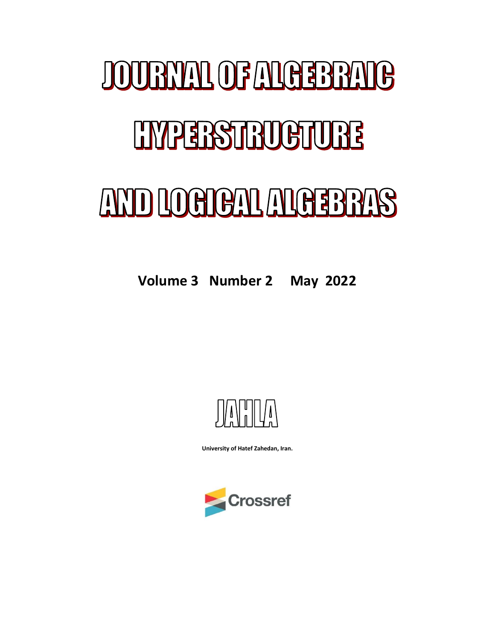# **JOURNAL OF ALGEBRAIG ENPERSTRUCTURE** AND LOCICAL ALGEBRAS

**Volume 3 Number 2 May 2022**



**University of Hatef Zahedan, Iran.**

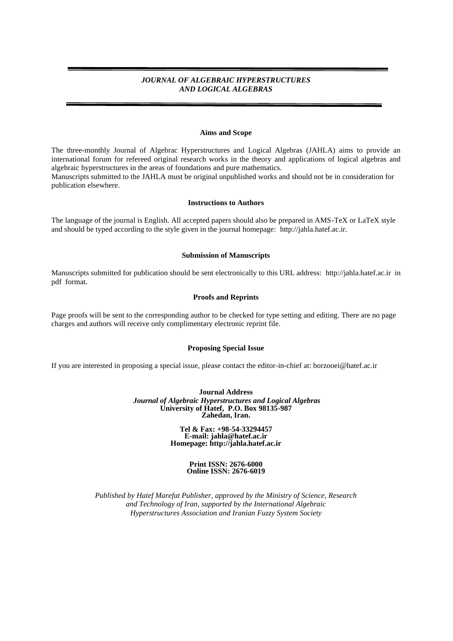#### *JOURNAL OF ALGEBRAIC HYPERSTRUCTURES AND LOGICAL ALGEBRAS*

#### **Aims and Scope**

The three-monthly Journal of Algebrac Hyperstructures and Logical Algebras (JAHLA) aims to provide an international forum for refereed original research works in the theory and applications of logical algebras and algebraic hyperstructures in the areas of foundations and pure mathematics. Manuscripts submitted to the JAHLA must be original unpublished works and should not be in consideration for

publication elsewhere.

#### **Instructions to Authors**

The language of the journal is English. All accepted papers should also be prepared in AMS-TeX or LaTeX style and should be typed according to the style given in the journal homepage: [http://jahla.hatef.ac.ir.](http://ijfs.usb.ac.ir/)

#### **Submission of Manuscripts**

Manuscripts submitted for publication should be sent electronically to this URL address: [http://jahla.hatef.ac.ir](http://ijfs.usb.ac.ir/) in pdf format.

#### **Proofs and Reprints**

Page proofs will be sent to the corresponding author to be checked for type setting and editing. There are no page charges and authors will receive only complimentary electronic reprint file.

#### **Proposing Special Issue**

If you are interested in proposing a special issue, please contact the editor-in-chief at: borzooei@hatef.ac.ir

**Journal Address** *Journal of Algebraic Hyperstructures and Logical Algebras* **University of Hatef, P.O. Box 98135-987 Zahedan, Iran.**

> **Tel & Fax: +98-54-33294457 E-mail: [jahla@hatef.ac.ir](mailto:jahla@hatef.ac.ir) Homepage: http://jahla.hatef.ac.ir**

#### **Print ISSN: 2676-6000 Online ISSN: 2676-6019**

*Published by Hatef Marefat Publisher, approved by the Ministry of Science, Research and Technology of Iran, supported by the International Algebraic Hyperstructures Association and Iranian Fuzzy System Society*